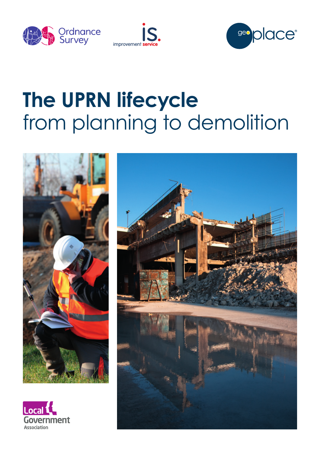





# **The UPRN lifecycle** from planning to demolition





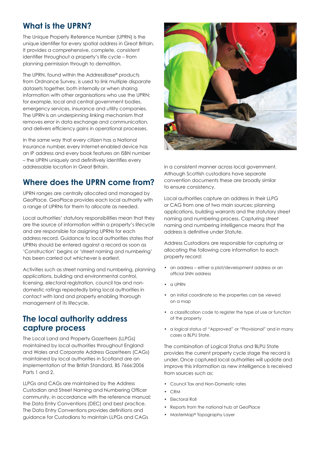## **What is the UPRN?**

The Unique Property Reference Number (UPRN) is the unique identifier for every spatial address in Great Britain. It provides a comprehensive, complete, consistent identifier throughout a property's life cycle – from planning permission through to demolition.

The UPRN, found within the AddressBase® products from Ordnance Survey, is used to link multiple disparate datasets together, both internally or when sharing information with other organisations who use the UPRN; for example, local and central government bodies, emergency services, insurance and utility companies. The UPRN is an underpinning linking mechanism that removes error in data exchange and communication, and delivers efficiency gains in operational processes.

In the same way that every citizen has a National Insurance number, every Internet-enabled device has an IP address and every book features an ISBN number – the UPRN uniquely and definitively identifies every addressable location in Great Britain.

## **Where does the UPRN come from?**

UPRN ranges are centrally allocated and managed by GeoPlace. GeoPlace provides each local authority with a range of UPRNs for them to allocate as needed.

Local authorities' statutory responsibilities mean that they are the source of information within a property's lifecycle and are responsible for assigning UPRNs for each address record. Guidance to local authorities states that UPRNs should be entered against a record as soon as 'Construction' begins or 'street naming and numbering' has been carried out whichever is earliest.

Activities such as street naming and numbering, planning applications, building and environmental control, licensing, electoral registration, council tax and nondomestic ratings repeatedly bring local authorities in contact with land and property enabling thorough management of its lifecycle.

#### **The local authority address capture process**

The Local Land and Property Gazetteers (LLPGs) maintained by local authorities throughout England and Wales and Corporate Address Gazetteers (CAGs) maintained by local authorities in Scotland are an implementation of the British Standard, BS 7666:2006 Parts 1 and 2.

LLPGs and CAGs are maintained by the Address Custodian and Street Naming and Numbering Officer community, in accordance with the reference manual; the Data Entry Conventions (DEC) and best practice. The Data Entry Conventions provides definitions and guidance for Custodians to maintain LLPGs and CAGs



in a consistent manner across local government. Although Scottish custodians have separate convention documents these are broadly similar to ensure consistency.

Local authorities capture an address in their LLPG or CAG from one of two main sources: planning applications, building warrants and the statutory street naming and numbering process. Capturing street naming and numbering intelligence means that the address is definitive under Statute.

Address Custodians are responsible for capturing or allocating the following core information to each property record:

- an address either a plot/development address or an official SNN address
- a UPRN
- an initial coordinate so the properties can be viewed on a map
- a classification code to register the type of use or function of the property
- a logical status of "Approved" or "Provisional" and in many cases a BLPU State.

The combination of Logical Status and BLPU State provides the current property cycle stage the record is under. Once captured local authorities will update and improve this information as new intelligence is received from sources such as:

- Council Tax and Non-Domestic rates
- CRM
- Electoral Roll
- Reports from the national hub at GeoPlace
- MasterMap® Topography Layer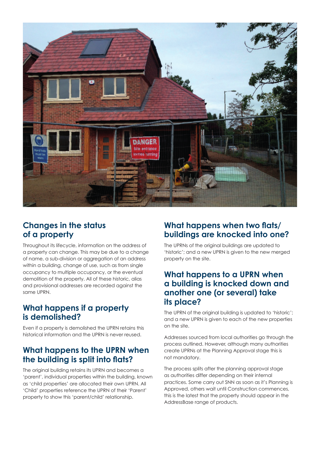

## **Changes in the status of a property**

Throughout its lifecycle, information on the address of a property can change. This may be due to a change of name, a sub-division or aggregation of an address within a building, change of use, such as from single occupancy to multiple occupancy, or the eventual demolition of the property. All of these historic, alias and provisional addresses are recorded against the same UPRN.

## **What happens if a property is demolished?**

Even if a property is demolished the UPRN retains this historical information and the UPRN is never reused.

## **What happens to the UPRN when the building is split into flats?**

The original building retains its UPRN and becomes a 'parent', individual properties within the building, known as 'child properties' are allocated their own UPRN. All 'Child' properties reference the UPRN of their 'Parent' property to show this 'parent/child' relationship.

## **What happens when two flats/ buildings are knocked into one?**

The UPRNs of the original buildings are updated to 'historic'; and a new UPRN is given to the new merged property on the site.

#### **What happens to a UPRN when a building is knocked down and another one (or several) take its place?**

The UPRN of the original building is updated to 'historic'; and a new UPRN is given to each of the new properties on the site.

Addresses sourced from local authorities go through the process outlined. However, although many authorities create UPRNs at the Planning Approval stage this is not mandatory.

The process splits after the planning approval stage as authorities differ depending on their internal practices. Some carry out SNN as soon as it's Planning is Approved, others wait until Construction commences, this is the latest that the property should appear in the AddressBase range of products.